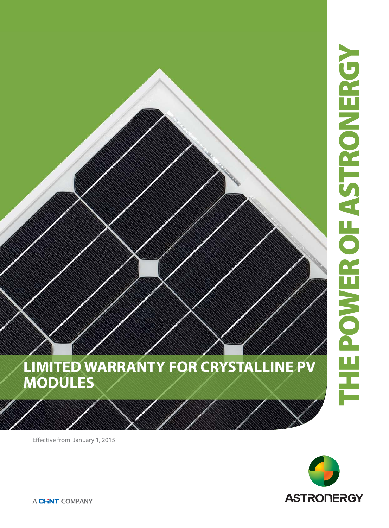

**LIMITED WARRANTY FOR CRYSTALLINE PV MODULES** 

Effective from January 1, 2015

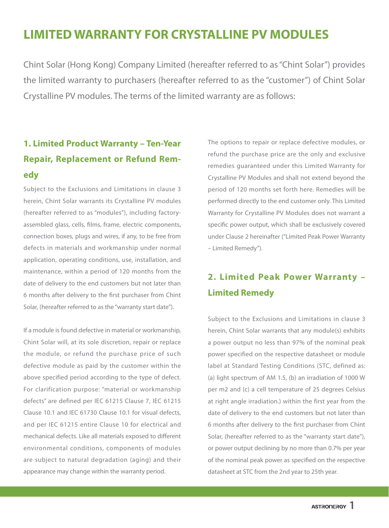# **LIMITED WARRANTY FOR CRYSTALLINE PV MODULES**

Chint Solar (Hong Kong) Company Limited (hereafter referred to as "Chint Solar") provides the limited warranty to purchasers (hereafter referred to as the "customer") of Chint Solar Crystalline PV modules. The terms of the limited warranty are as follows:

# **1. Limited Product Warranty – Ten-Year Repair, Replacement or Refund Remedy**

Subject to the Exclusions and Limitations in clause 3 herein, Chint Solar warrants its Crystalline PV modules (hereafter referred to as "modules"), including factoryassembled glass, cells, films, frame, electric components, connection boxes, plugs and wires, if any, to be free from defects in materials and workmanship under normal application, operating conditions, use, installation, and maintenance, within a period of 120 months from the date of delivery to the end customers but not later than 6 months after delivery to the first purchaser from Chint Solar, (hereafter referred to as the "warranty start date").

If a module is found defective in material or workmanship, Chint Solar will, at its sole discretion, repair or replace the module, or refund the purchase price of such defective module as paid by the customer within the above specified period according to the type of defect. For clarification purpose: "material or workmanship defects" are defined per IEC 61215 Clause 7, IEC 61215 Clause 10.1 and IEC 61730 Clause 10.1 for visual defects, and per IEC 61215 entire Clause 10 for electrical and mechanical defects. Like all materials exposed to different environmental conditions, components of modules are subject to natural degradation (aging) and their appearance may change within the warranty period.

The options to repair or replace defective modules, or refund the purchase price are the only and exclusive remedies guaranteed under this Limited Warranty for Crystalline PV Modules and shall not extend beyond the period of 120 months set forth here. Remedies will be performed directly to the end customer only. This Limited Warranty for Crystalline PV Modules does not warrant a specific power output, which shall be exclusively covered under Clause 2 hereinafter ("Limited Peak Power Warranty – Limited Remedy").

# **2. Limited Peak Power Warranty – Limited Remedy**

Subject to the Exclusions and Limitations in clause 3 herein, Chint Solar warrants that any module(s) exhibits a power output no less than 97% of the nominal peak power specified on the respective datasheet or module label at Standard Testing Conditions (STC, defined as: (a) light spectrum of AM 1.5, (b) an irradiation of 1000 W per m2 and (c) a cell temperature of 25 degrees Celsius at right angle irradiation.) within the first year from the date of delivery to the end customers but not later than 6 months after delivery to the first purchaser from Chint Solar, (hereafter referred to as the "warranty start date"), or power output declining by no more than 0.7% per year of the nominal peak power as specified on the respective datasheet at STC from the 2nd year to 25th year.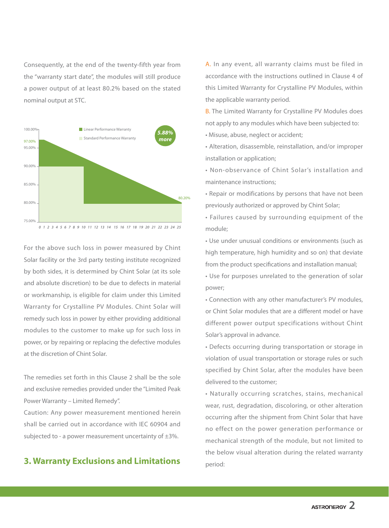Consequently, at the end of the twenty-fifth year from the "warranty start date", the modules will still produce a power output of at least 80.2% based on the stated nominal output at STC.



For the above such loss in power measured by Chint Solar facility or the 3rd party testing institute recognized by both sides, it is determined by Chint Solar (at its sole and absolute discretion) to be due to defects in material or workmanship, is eligible for claim under this Limited Warranty for Crystalline PV Modules. Chint Solar will remedy such loss in power by either providing additional modules to the customer to make up for such loss in power, or by repairing or replacing the defective modules at the discretion of Chint Solar.

The remedies set forth in this Clause 2 shall be the sole and exclusive remedies provided under the "Limited Peak Power Warranty – Limited Remedy".

Caution: Any power measurement mentioned herein shall be carried out in accordance with IEC 60904 and subjected to - a power measurement uncertainty of  $\pm 3\%$ .

# **3. Warranty Exclusions and Limitations**

A. In any event, all warranty claims must be filed in accordance with the instructions outlined in Clause 4 of this Limited Warranty for Crystalline PV Modules, within the applicable warranty period.

B. The Limited Warranty for Crystalline PV Modules does not apply to any modules which have been subjected to:

• Misuse, abuse, neglect or accident;

• Alteration, disassemble, reinstallation, and/or improper installation or application;

• Non-observance of Chint Solar's installation and maintenance instructions;

• Repair or modifications by persons that have not been previously authorized or approved by Chint Solar;

• Failures caused by surrounding equipment of the module;

• Use under unusual conditions or environments (such as high temperature, high humidity and so on) that deviate from the product specifications and installation manual;

• Use for purposes unrelated to the generation of solar power;

• Connection with any other manufacturer's PV modules, or Chint Solar modules that are a different model or have different power output specifications without Chint Solar's approval in advance.

• Defects occurring during transportation or storage in violation of usual transportation or storage rules or such specified by Chint Solar, after the modules have been delivered to the customer;

• Naturally occurring scratches, stains, mechanical wear, rust, degradation, discoloring, or other alteration occurring after the shipment from Chint Solar that have no effect on the power generation performance or mechanical strength of the module, but not limited to the below visual alteration during the related warranty period: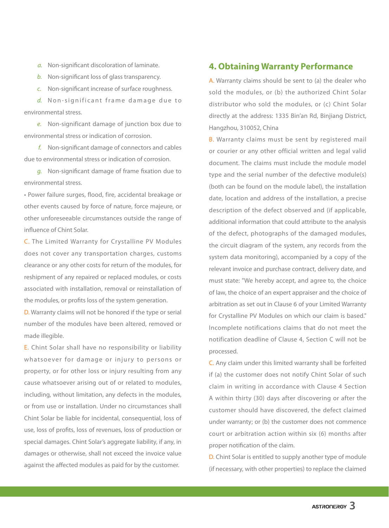a. Non-significant discoloration of laminate.

b. Non-significant loss of glass transparency.

c. Non-significant increase of surface roughness.

d. Non-significant frame damage due to environmental stress.

 e. Non-significant damage of junction box due to environmental stress or indication of corrosion.

 f. Non-significant damage of connectors and cables due to environmental stress or indication of corrosion.

 g. Non-significant damage of frame fixation due to environmental stress.

• Power failure surges, flood, fire, accidental breakage or other events caused by force of nature, force majeure, or other unforeseeable circumstances outside the range of influence of Chint Solar.

C. The Limited Warranty for Crystalline PV Modules does not cover any transportation charges, customs clearance or any other costs for return of the modules, for reshipment of any repaired or replaced modules, or costs associated with installation, removal or reinstallation of the modules, or profits loss of the system generation.

D. Warranty claims will not be honored if the type or serial number of the modules have been altered, removed or made illegible.

E. Chint Solar shall have no responsibility or liability whatsoever for damage or injury to persons or property, or for other loss or injury resulting from any cause whatsoever arising out of or related to modules, including, without limitation, any defects in the modules, or from use or installation. Under no circumstances shall Chint Solar be liable for incidental, consequential, loss of use, loss of profits, loss of revenues, loss of production or special damages. Chint Solar's aggregate liability, if any, in damages or otherwise, shall not exceed the invoice value against the affected modules as paid for by the customer.

# **4. Obtaining Warranty Performance**

A. Warranty claims should be sent to (a) the dealer who sold the modules, or (b) the authorized Chint Solar distributor who sold the modules, or (c) Chint Solar directly at the address: 1335 Bin'an Rd, Binjiang District, Hangzhou, 310052, China

B. Warranty claims must be sent by registered mail or courier or any other official written and legal valid document. The claims must include the module model type and the serial number of the defective module(s) (both can be found on the module label), the installation date, location and address of the installation, a precise description of the defect observed and (if applicable, additional information that could attribute to the analysis of the defect, photographs of the damaged modules, the circuit diagram of the system, any records from the system data monitoring), accompanied by a copy of the relevant invoice and purchase contract, delivery date, and must state: "We hereby accept, and agree to, the choice of law, the choice of an expert appraiser and the choice of arbitration as set out in Clause 6 of your Limited Warranty for Crystalline PV Modules on which our claim is based." Incomplete notifications claims that do not meet the notification deadline of Clause 4, Section C will not be processed.

C. Any claim under this limited warranty shall be forfeited if (a) the customer does not notify Chint Solar of such claim in writing in accordance with Clause 4 Section A within thirty (30) days after discovering or after the customer should have discovered, the defect claimed under warranty; or (b) the customer does not commence court or arbitration action within six (6) months after proper notification of the claim.

D. Chint Solar is entitled to supply another type of module (if necessary, with other properties) to replace the claimed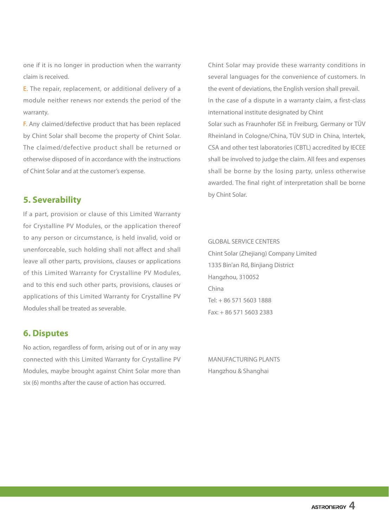one if it is no longer in production when the warranty claim is received.

E. The repair, replacement, or additional delivery of a module neither renews nor extends the period of the warranty.

F. Any claimed/defective product that has been replaced by Chint Solar shall become the property of Chint Solar. The claimed/defective product shall be returned or otherwise disposed of in accordance with the instructions of Chint Solar and at the customer's expense.

# **5. Severability**

If a part, provision or clause of this Limited Warranty for Crystalline PV Modules, or the application thereof to any person or circumstance, is held invalid, void or unenforceable, such holding shall not affect and shall leave all other parts, provisions, clauses or applications of this Limited Warranty for Crystalline PV Modules, and to this end such other parts, provisions, clauses or applications of this Limited Warranty for Crystalline PV Modules shall be treated as severable.

# **6. Disputes**

No action, regardless of form, arising out of or in any way connected with this Limited Warranty for Crystalline PV Modules, maybe brought against Chint Solar more than six (6) months after the cause of action has occurred.

Chint Solar may provide these warranty conditions in several languages for the convenience of customers. In the event of deviations, the English version shall prevail. In the case of a dispute in a warranty claim, a first-class international institute designated by Chint Solar such as Fraunhofer ISE in Freiburg, Germany or TÜV Rheinland in Cologne/China, TÜV SUD in China, Intertek, CSA and other test laboratories (CBTL) accredited by IECEE shall be involved to judge the claim. All fees and expenses shall be borne by the losing party, unless otherwise awarded. The final right of interpretation shall be borne

by Chint Solar.

## GLOBAL SERVICE CENTERS

Chint Solar (Zhejiang) Company Limited 1335 Bin'an Rd, Binjiang District Hangzhou, 310052 China Tel: + 86 571 5603 1888  $Fax + 8657156032383$ 

MANUFACTURING PLANTS Hangzhou & Shanghai